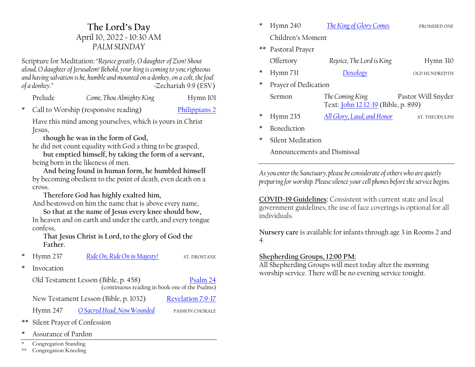# **The Lord·s Day** April 10, 2022 ~ 10:30 AM *PALM SUNDAY*

Scripture for Meditation*:´Rejoice greatly, O daughter of Zion! Shout aloud, O daughter of Jerusalem! Behold, your king is coming to you; righteous and having salvation is he, humble and mounted on a donkey, on a colt, the foal of a donkey.µ ~*Zechariah 9:9 (ESV)

| Prelude | Come, Thou Almighty King | Hymn 101 |
|---------|--------------------------|----------|
|         |                          |          |

\* Call to Worship (responsive reading) [Philippians 2](https://www.esv.org/Philippians+2/)

Have this mind among yourselves, which is yours in Christ Jesus,

**though he was in the form of God,** 

he did not count equality with God a thing to be grasped,

**but emptied himself, by taking the form of a servant,** being born in the likeness of men.

**And being found in human form, he humbled himself** by becoming obedient to the point of death, even death on a cross.

**Therefore God has highly exalted him,** And bestowed on him the name that is above every name,

**So that at the name of Jesus every knee should bow,** In heaven and on earth and under the earth, and every tongue confess,

**That Jesus Christ is Lord, to the glory of God the Father.**

\* Hymn 237 [Ride On, Ride On in Majesty!](https://hymnary.org/hymn/TH1990/237) ST. DROSTANE

\* Invocation

Old Testament Lesson (Bible, p. 458) [Psalm 24](https://www.esv.org/Psalm+24/) (continuous reading in book one of the Psalms)

New Testament Lesson (Bible, p. 1032) [Revelation 7:9-17](https://www.esv.org/Revelation+7+9/)

Hymn 247 [O Sacred Head, Now Wounded](https://hymnary.org/hymn/TH1990/247) PASSION CHORALE

- \*\* Silent Prayer of Confession
- Assurance of Pardon
- Congregation Standing
- \*\* Congregation Kneeling
- \* Hymn 240 *[The King of Glory Comes](https://hymnary.org/hymn/TH1990/240)* PROMISED ONE Children's Moment \*\* Pastoral Prayer Offertory *Rejoice, The Lord is King* Hymn 310
- \* Hymn 731 *[Doxology](https://hymnary.org/hymn/TH1990/731)* OLD HUNDREDTH
- Prayer of Dedication
	- Sermon *The Coming King* Pastor Will Snyder Text: [John 12:12-19](https://www.esv.org/John+12+12/) (Bible, p. 899)
- \* Hymn 235 [All Glory, Laud, and Honor](https://hymnary.org/hymn/TH1990/235) ST. THEODULPH
- **Benediction**
- Silent Meditation

Announcements and Dismissal

*As you enter the Sanctuary, please be considerate of others who are quietly preparing for worship. Please silence your cell phones before the service begins.*

**COVID-19 Guidelines:** Consistent with current state and local government guidelines, the use of face coverings is optional for all individuals.

**Nursery care** is available for infants through age 3 in Rooms 2 and 4.

#### **Shepherding Groups, 12:00 PM:**

All Shepherding Groups will meet today after the morning worship service. There will be no evening service tonight.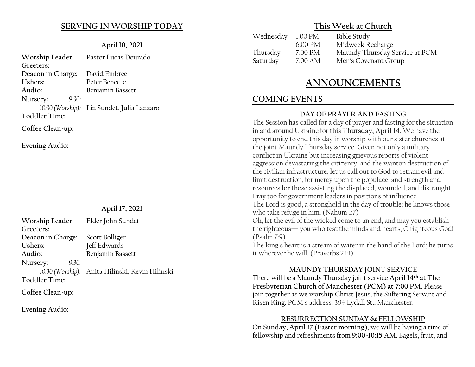# **SERVING IN WORSHIP TODAY**

### **April 10, 2021**

| Worship Leader:      | Pastor Lucas Dourado                       |
|----------------------|--------------------------------------------|
| Greeters:            |                                            |
| Deacon in Charge:    | David Embree                               |
| Ushers:              | Peter Benedict                             |
| Audio:               | Benjamin Bassett                           |
| Nursery:<br>9:30:    |                                            |
|                      | 10:30 (Worship): Liz Sundet, Julia Lazzaro |
| <b>Toddler Time:</b> |                                            |
| Coffee Clean-up:     |                                            |

**Evening Audio:**

# **April 17, 2021**

| Worship Leader:   | Elder John Sundet                               |
|-------------------|-------------------------------------------------|
| Greeters:         |                                                 |
| Deacon in Charge: | Scott Bolliger                                  |
| Ushers:           | Jeff Edwards                                    |
| Audio:            | Benjamin Bassett                                |
| Nursery:<br>9:30: |                                                 |
|                   | 10:30 (Worship): Anita Hilinski, Kevin Hilinski |
| Toddler Time:     |                                                 |
|                   |                                                 |

**Coffee Clean-up:**

**Evening Audio:**

# **This Week at Church**

| Wednesday 1:00 PM | <b>Bible Study</b>             |
|-------------------|--------------------------------|
| 6:00 PM           | Midweek Recharge               |
| 7:00 PM           | Maundy Thursday Service at PCM |
| 7:00 AM           | Men's Covenant Group           |
|                   |                                |

# **ANNOUNCEMENTS**

# **COMING EVENTS**

# **DAY OF PRAYER AND FASTING**

The Session has called for a day of prayer and fasting for the situation in and around Ukraine for this **Thursday, April 14**. We have the opportunity to end this day in worship with our sister churches at the joint Maundy Thursday service. Given not only a military conflict in Ukraine but increasing grievous reports of violent aggression devastating the citizenry, and the wanton destruction of the civilian infrastructure, let us call out to God to retrain evil and limit destruction, for mercy upon the populace, and strength and resources for those assisting the displaced, wounded, and distraught. Pray too for government leaders in positions of influence. The Lord is good, a stronghold in the day of trouble; he knows those

who take refuge in him. (Nahum 1:7)

Oh, let the evil of the wicked come to an end, and may you establish the righteous- you who test the minds and hearts, O righteous God! (Psalm 7:9)

The king's heart is a stream of water in the hand of the Lord; he turns it wherever he will. (Proverbs 21:1)

#### **MAUNDY THURSDAY JOINT SERVICE**

There will be a Maundy Thursday joint service **April 14th at The Presbyterian Church of Manchester (PCM) at 7:00 PM**. Please join together as we worship Christ Jesus, the Suffering Servant and Risen King. PCM's address: 394 Lydall St., Manchester.

# **RESURRECTION SUNDAY & FELLOWSHIP**

On **Sunday, April 17 (Easter morning),** we will be having a time of fellowship and refreshments from **9:00-10:15 AM**. Bagels, fruit, and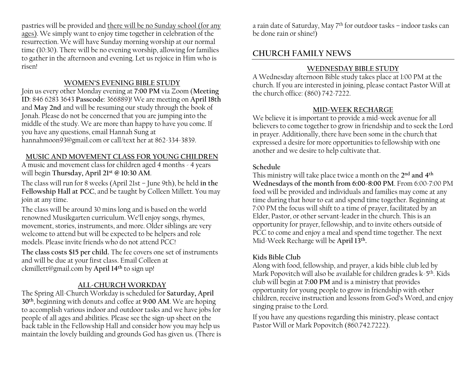pastries will be provided and there will be no Sunday school (for any ages). We simply want to enjoy time together in celebration of the resurrection. We will have Sunday morning worship at our normal time (10:30). There will be no evening worship, allowing for families to gather in the afternoon and evening. Let us rejoice in Him who is risen!

#### **WOMEN·S EVENING BIBLE STUDY**

Join us every other Monday evening at **7:00 PM** via Zoom (**Meeting ID**: 846 6283 3643 **Passcode**: 366889)! We are meeting on **April 18th** and **May 2nd** and will be resuming our study through the book of Jonah. Please do not be concerned that you are jumping into the middle of the study. We are more than happy to have you come. If you have any questions, email Hannah Sung at hannahmoon93@gmail.com or call/text her at 862-334-3839.

#### **MUSIC AND MOVEMENT CLASS FOR YOUNG CHILDREN**

A music and movement class for children aged 4 months - 4 years will begin **Thursday, April 21st @ 10:30 AM**.

The class will run for 8 weeks (April 21st - June 9th), be held in the **Fellowship Hall at PCC**, and be taught by Colleen Millett. You may join at any time.

The class will be around 30 mins long and is based on the world renowned Musikgarten curriculum. We'll enjoy songs, rhymes, movement, stories, instruments, and more. Older siblings are very welcome to attend but will be expected to be helpers and role models. Please invite friends who do not attend PCC!

**The class costs \$15 per child.** The fee covers one set of instruments and will be due at your first class. Email Colleen at ckmillett@gmail.com by **April 14th** to sign up!

#### **ALL-CHURCH WORKDAY**

The Spring All-Church Workday is scheduled for **Saturday, April 30th**, beginning with donuts and coffee at **9:00 AM**. We are hoping to accomplish various indoor and outdoor tasks and we have jobs for people of all ages and abilities. Please see the sign-up sheet on the back table in the Fellowship Hall and consider how you may help us maintain the lovely building and grounds God has given us. (There is a rain date of Saturday, May  $7<sup>th</sup>$  for outdoor tasks  $-$  indoor tasks can be done rain or shine!)

# **CHURCH FAMILY NEWS**

#### **WEDNESDAY BIBLE STUDY**

A Wednesday afternoon Bible study takes place at 1:00 PM at the church. If you are interested in joining, please contact Pastor Will at the church office: (860) 742-7222.

#### **MID-WEEK RECHARGE**

We believe it is important to provide a mid-week avenue for all believers to come together to grow in friendship and to seek the Lord in prayer. Additionally, there have been some in the church that expressed a desire for more opportunities to fellowship with one another and we desire to help cultivate that.

#### **Schedule**

This ministry will take place twice a month on the **2nd and 4th Wednesdays of the month from 6:00-8:00 PM**. From 6:00-7:00 PM food will be provided and individuals and families may come at any time during that hour to eat and spend time together. Beginning at 7:00 PM the focus will shift to a time of prayer, facilitated by an Elder, Pastor, or other servant-leader in the church. This is an opportunity for prayer, fellowship, and to invite others outside of PCC to come and enjoy a meal and spend time together. The next Mid-Week Recharge will be **April 13th.**

#### **Kids Bible Club**

Along with food, fellowship, and prayer, a kids bible club led by Mark Popovitch will also be available for children grades k-5th. Kids club will begin at **7:00 PM** and is a ministry that provides opportunity for young people to grow in friendship with other children, receive instruction and lessons from God's Word, and enjoy singing praise to the Lord.

If you have any questions regarding this ministry, please contact Pastor Will or Mark Popovitch (860.742.7222).